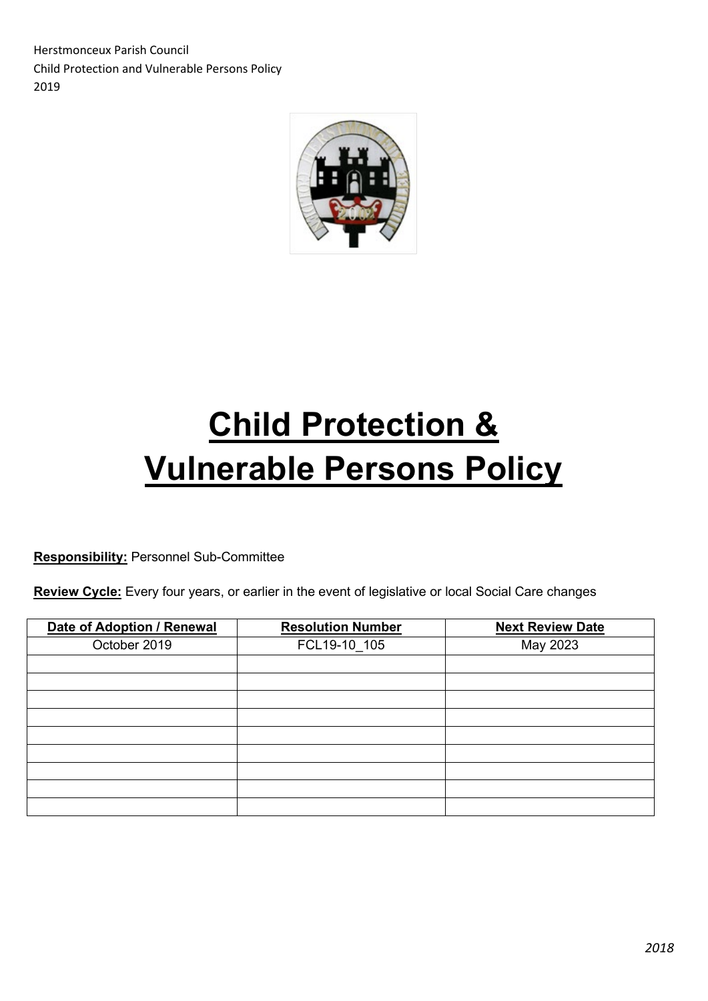Herstmonceux Parish Council Child Protection and Vulnerable Persons Policy 2019



# **Child Protection & Vulnerable Persons Policy**

**Responsibility:** Personnel Sub-Committee

**Review Cycle:** Every four years, or earlier in the event of legislative or local Social Care changes

| Date of Adoption / Renewal | <b>Resolution Number</b> | <b>Next Review Date</b> |
|----------------------------|--------------------------|-------------------------|
| October 2019               | FCL19-10_105             | May 2023                |
|                            |                          |                         |
|                            |                          |                         |
|                            |                          |                         |
|                            |                          |                         |
|                            |                          |                         |
|                            |                          |                         |
|                            |                          |                         |
|                            |                          |                         |
|                            |                          |                         |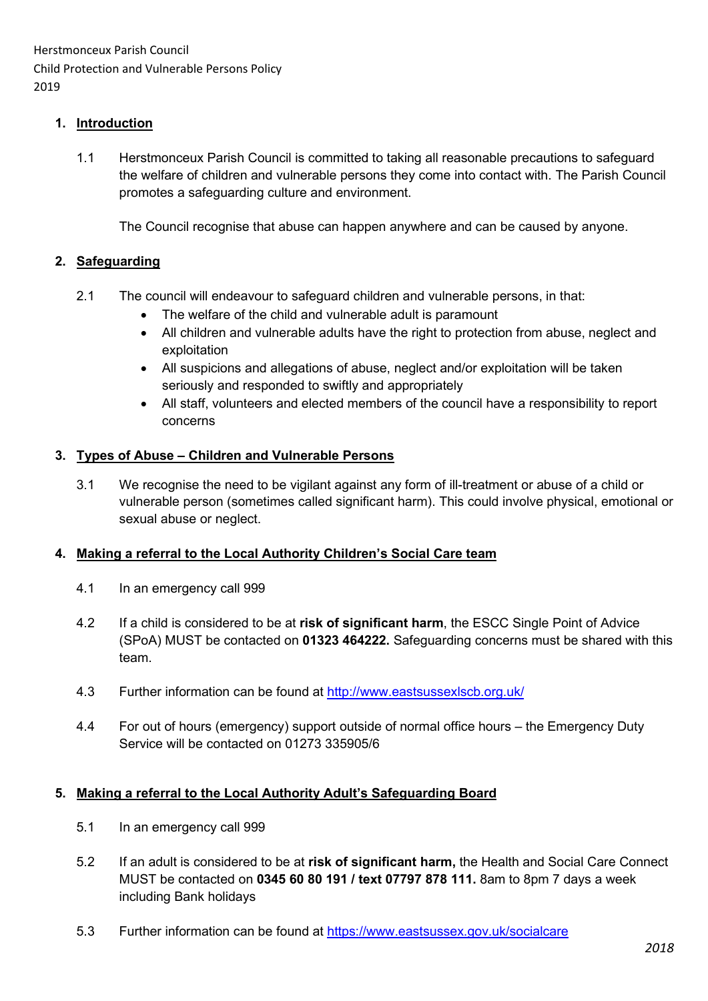Herstmonceux Parish Council Child Protection and Vulnerable Persons Policy 2019

### **1. Introduction**

1.1 Herstmonceux Parish Council is committed to taking all reasonable precautions to safeguard the welfare of children and vulnerable persons they come into contact with. The Parish Council promotes a safeguarding culture and environment.

The Council recognise that abuse can happen anywhere and can be caused by anyone.

#### **2. Safeguarding**

- 2.1 The council will endeavour to safeguard children and vulnerable persons, in that:
	- The welfare of the child and vulnerable adult is paramount
	- All children and vulnerable adults have the right to protection from abuse, neglect and exploitation
	- All suspicions and allegations of abuse, neglect and/or exploitation will be taken seriously and responded to swiftly and appropriately
	- All staff, volunteers and elected members of the council have a responsibility to report concerns

#### **3. Types of Abuse – Children and Vulnerable Persons**

3.1 We recognise the need to be vigilant against any form of ill-treatment or abuse of a child or vulnerable person (sometimes called significant harm). This could involve physical, emotional or sexual abuse or neglect.

#### **4. Making a referral to the Local Authority Children's Social Care team**

- 4.1 In an emergency call 999
- 4.2 If a child is considered to be at **risk of significant harm**, the ESCC Single Point of Advice (SPoA) MUST be contacted on **01323 464222.** Safeguarding concerns must be shared with this team.
- 4.3 Further information can be found at<http://www.eastsussexlscb.org.uk/>
- 4.4 For out of hours (emergency) support outside of normal office hours the Emergency Duty Service will be contacted on 01273 335905/6

### **5. Making a referral to the Local Authority Adult's Safeguarding Board**

- 5.1 In an emergency call 999
- 5.2 If an adult is considered to be at **risk of significant harm,** the Health and Social Care Connect MUST be contacted on **0345 60 80 191 / text 07797 878 111.** 8am to 8pm 7 days a week including Bank holidays
- 5.3 Further information can be found at<https://www.eastsussex.gov.uk/socialcare>